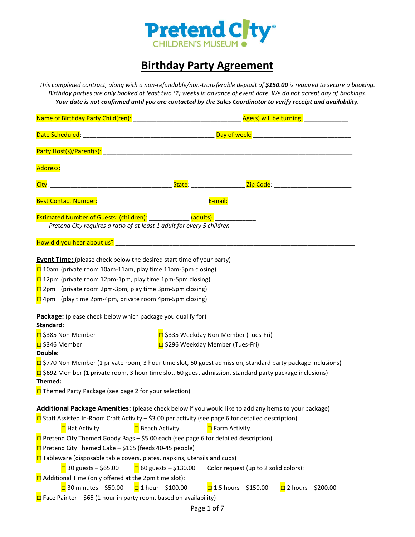

# **Birthday Party Agreement**

*This completed contract, along with a non-refundable/non-transferable deposit of \$150.00 is required to secure a booking. Birthday parties are only booked at least two (2) weeks in advance of event date. We do not accept day of bookings. Your date is not confirmed until you are contacted by the Sales Coordinator to verify receipt and availability.* 

|                                                                                                | Estimated Number of Guests: (children): ___________ (adults): ____________                                           |                               |  |  |  |  |
|------------------------------------------------------------------------------------------------|----------------------------------------------------------------------------------------------------------------------|-------------------------------|--|--|--|--|
|                                                                                                | Pretend City requires a ratio of at least 1 adult for every 5 children                                               |                               |  |  |  |  |
|                                                                                                |                                                                                                                      |                               |  |  |  |  |
|                                                                                                | <b>Event Time:</b> (please check below the desired start time of your party)                                         |                               |  |  |  |  |
| $\Box$ 10am (private room 10am-11am, play time 11am-5pm closing)                               |                                                                                                                      |                               |  |  |  |  |
| $\square$ 12pm (private room 12pm-1pm, play time 1pm-5pm closing)                              |                                                                                                                      |                               |  |  |  |  |
| $\square$ 2pm (private room 2pm-3pm, play time 3pm-5pm closing)                                |                                                                                                                      |                               |  |  |  |  |
| $\Box$ 4pm (play time 2pm-4pm, private room 4pm-5pm closing)                                   |                                                                                                                      |                               |  |  |  |  |
| Package: (please check below which package you qualify for)<br>Standard:<br>□ \$385 Non-Member | □ \$335 Weekday Non-Member (Tues-Fri)                                                                                |                               |  |  |  |  |
| □ \$346 Member                                                                                 | □ \$296 Weekday Member (Tues-Fri)                                                                                    |                               |  |  |  |  |
| Double:                                                                                        |                                                                                                                      |                               |  |  |  |  |
|                                                                                                | $\square$ \$770 Non-Member (1 private room, 3 hour time slot, 60 guest admission, standard party package inclusions) |                               |  |  |  |  |
|                                                                                                | $\square$ \$692 Member (1 private room, 3 hour time slot, 60 guest admission, standard party package inclusions)     |                               |  |  |  |  |
| Themed:                                                                                        |                                                                                                                      |                               |  |  |  |  |
| $\Box$ Themed Party Package (see page 2 for your selection)                                    |                                                                                                                      |                               |  |  |  |  |
|                                                                                                | Additional Package Amenities: (please check below if you would like to add any items to your package)                |                               |  |  |  |  |
|                                                                                                | $\square$ Staff Assisted In-Room Craft Activity - \$3.00 per activity (see page 6 for detailed description)          |                               |  |  |  |  |
| □ Hat Activity                                                                                 | $\Box$ Beach Activity<br>□ Farm Activity                                                                             |                               |  |  |  |  |
|                                                                                                | □ Pretend City Themed Goody Bags - \$5.00 each (see page 6 for detailed description)                                 |                               |  |  |  |  |
| $\Box$ Pretend City Themed Cake – \$165 (feeds 40-45 people)                                   |                                                                                                                      |                               |  |  |  |  |
|                                                                                                | $\Box$ Tableware (disposable table covers, plates, napkins, utensils and cups)                                       |                               |  |  |  |  |
| $\Box$ 30 guests – \$65.00                                                                     | $\Box$ 60 guests – \$130.00<br>Color request (up to 2 solid colors):                                                 |                               |  |  |  |  |
| and Additional Time (only offered at the 2pm time slot):                                       |                                                                                                                      |                               |  |  |  |  |
| $\Box$ 30 minutes – \$50.00                                                                    | $\Box$ 1.5 hours – \$150.00<br>$\Box$ 1 hour - \$100.00                                                              | $\sqrt{2}$ 2 hours – \$200.00 |  |  |  |  |
| $\Box$ Face Painter – \$65 (1 hour in party room, based on availability)                       |                                                                                                                      |                               |  |  |  |  |
|                                                                                                |                                                                                                                      |                               |  |  |  |  |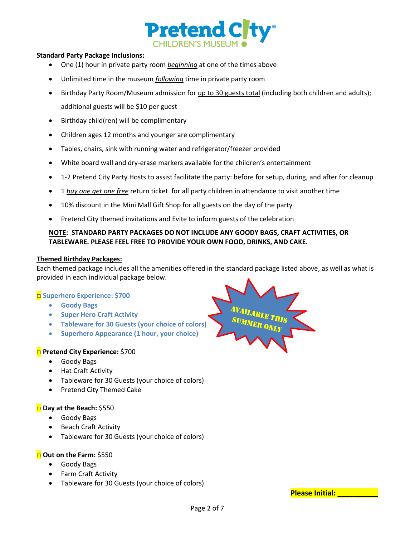

# **Standard Party Package Inclusions:**

- One (1) hour in private party room *beginning* at one of the times above
- Unlimited time in the museum *following* time in private party room
- Birthday Party Room/Museum admission for up to 30 guests total (including both children and adults); additional guests will be \$10 per guest
- Birthday child(ren) will be complimentary
- Children ages 12 months and younger are complimentary
- Tables, chairs, sink with running water and refrigerator/freezer provided
- White board wall and dry-erase markers available for the children's entertainment
- 1-2 Pretend City Party Hosts to assist facilitate the party: before for setup, during, and after for cleanup
- 1 *buy one get one free* return ticket for all party children in attendance to visit another time
- 10% discount in the Mini Mall Gift Shop for all guests on the day of the party
- Pretend City themed invitations and Evite to inform guests of the celebration

# **NOTE: STANDARD PARTY PACKAGES DO NOT INCLUDE ANY GOODY BAGS, CRAFT ACTIVITIES, OR TABLEWARE. PLEASE FEEL FREE TO PROVIDE YOUR OWN FOOD, DRINKS, AND CAKE.**

#### **Themed Birthday Packages:**

Each themed package includes all the amenities offered in the standard package listed above, as well as what is provided in each individual package below.

# □ **Superhero Experience: \$700**

- **Goody Bags**
- **Super Hero Craft Activity**
- **Tableware for 30 Guests (your choice of colors)**
- **Superhero Appearance (1 hour, your choice)**

# □ **Pretend City Experience:** \$700

- Goody Bags
- Hat Craft Activity
- Tableware for 30 Guests (your choice of colors)
- Pretend City Themed Cake

# □ **Day at the Beach:** \$550

- Goody Bags
- Beach Craft Activity
- Tableware for 30 Guests (your choice of colors)

# □ **Out on the Farm:** \$550

- Goody Bags
- Farm Craft Activity
- Tableware for 30 Guests (your choice of colors)



**Please Initial: \_\_\_\_\_\_\_\_\_\_**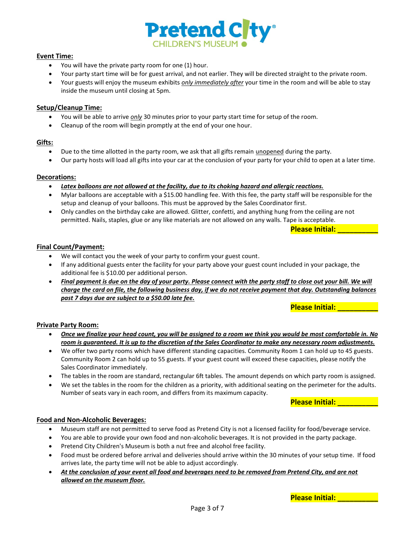

### **Event Time:**

- You will have the private party room for one (1) hour.
- Your party start time will be for guest arrival, and not earlier. They will be directed straight to the private room.
- Your guests will enjoy the museum exhibits *only immediately after* your time in the room and will be able to stay inside the museum until closing at 5pm.

# **Setup/Cleanup Time:**

- You will be able to arrive *only* 30 minutes prior to your party start time for setup of the room.
- Cleanup of the room will begin promptly at the end of your one hour.

# **Gifts:**

- Due to the time allotted in the party room, we ask that all gifts remain unopened during the party.
- Our party hosts will load all gifts into your car at the conclusion of your party for your child to open at a later time.

# **Decorations:**

- *Latex balloons are not allowed at the facility, due to its choking hazard and allergic reactions.*
- Mylar balloons are acceptable with a \$15.00 handling fee. With this fee, the party staff will be responsible for the setup and cleanup of your balloons. This must be approved by the Sales Coordinator first.
- Only candles on the birthday cake are allowed. Glitter, confetti, and anything hung from the ceiling are not permitted. Nails, staples, glue or any like materials are not allowed on any walls. Tape is acceptable.

**Please Initial: \_\_\_\_\_\_\_\_\_\_**

# **Final Count/Payment:**

- We will contact you the week of your party to confirm your guest count.
- If any additional guests enter the facility for your party above your guest count included in your package, the additional fee is \$10.00 per additional person.
- **•** Final payment is due on the day of your party. Please connect with the party staff to close out your bill. We will *charge the card on file, the following business day, if we do not receive payment that day. Outstanding balances past 7 days due are subject to a \$50.00 late fee.*

**Please Initial: \_\_\_\_\_\_\_\_\_\_**

# **Private Party Room:**

- *Once we finalize your head count, you will be assigned to a room we think you would be most comfortable in. No room is guaranteed. It is up to the discretion of the Sales Coordinator to make any necessary room adjustments.*
- We offer two party rooms which have different standing capacities. Community Room 1 can hold up to 45 guests. Community Room 2 can hold up to 55 guests. If your guest count will exceed these capacities, please notify the Sales Coordinator immediately.
- The tables in the room are standard, rectangular 6ft tables. The amount depends on which party room is assigned.
- We set the tables in the room for the children as a priority, with additional seating on the perimeter for the adults. Number of seats vary in each room, and differs from its maximum capacity.

**Please Initial: \_\_\_\_\_\_\_\_\_\_**

# **Food and Non-Alcoholic Beverages:**

- Museum staff are not permitted to serve food as Pretend City is not a licensed facility for food/beverage service.
- You are able to provide your own food and non-alcoholic beverages. It is not provided in the party package.
- Pretend City Children's Museum is both a nut free and alcohol free facility.
- Food must be ordered before arrival and deliveries should arrive within the 30 minutes of your setup time. If food arrives late, the party time will not be able to adjust accordingly.
- *At the conclusion of your event all food and beverages need to be removed from Pretend City, and are not allowed on the museum floor.*

**Please Initial: \_\_\_\_\_\_\_\_\_\_**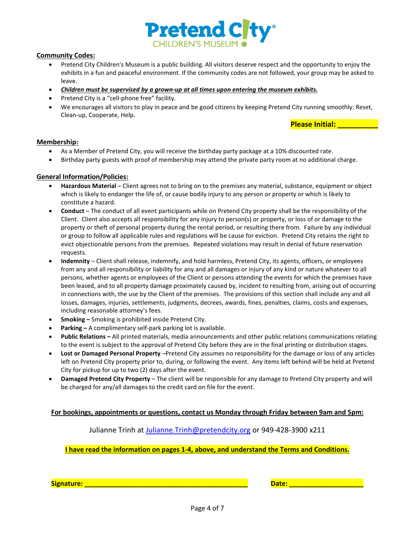

### **Community Codes:**

- Pretend City Children's Museum is a public building. All visitors deserve respect and the opportunity to enjoy the exhibits in a fun and peaceful environment. If the community codes are not followed, your group may be asked to leave.
- *Children must be supervised by a grown-up at all times upon entering the museum exhibits.*
- Pretend City is a "cell-phone free" facility.
- We encourages all visitors to play in peace and be good citizens by keeping Pretend City running smoothly: Reset, Clean-up, Cooperate, Help.

**Please Initial: \_\_\_\_\_\_\_\_\_\_**

#### **Membership:**

- As a Member of Pretend City, you will receive the birthday party package at a 10% discounted rate.
- Birthday party guests with proof of membership may attend the private party room at no additional charge.

#### **General Information/Policies:**

- **Hazardous Material** Client agrees not to bring on to the premises any material, substance, equipment or object which is likely to endanger the life of, or cause bodily injury to any person or property or which is likely to constitute a hazard.
- **Conduct** The conduct of all event participants while on Pretend City property shall be the responsibility of the Client. Client also accepts all responsibility for any injury to person(s) or property, or loss of or damage to the property or theft of personal property during the rental period, or resulting there from. Failure by any individual or group to follow all applicable rules and regulations will be cause for eviction. Pretend City retains the right to evict objectionable persons from the premises. Repeated violations may result in denial of future reservation requests.
- **Indemnity** Client shall release, indemnify, and hold harmless, Pretend City, its agents, officers, or employees from any and all responsibility or liability for any and all damages or injury of any kind or nature whatever to all persons, whether agents or employees of the Client or persons attending the events for which the premises have been leased, and to all property damage proximately caused by, incident to resulting from, arising out of occurring in connections with, the use by the Client of the premises. The provisions of this section shall include any and all losses, damages, injuries, settlements, judgments, decrees, awards, fines, penalties, claims, costs and expenses, including reasonable attorney's fees.
- **Smoking –** Smoking is prohibited inside Pretend City.
- **Parking –** A complimentary self-park parking lot is available.
- **Public Relations –** All printed materials, media announcements and other public relations communications relating to the event is subject to the approval of Pretend City before they are in the final printing or distribution stages.
- **Lost or Damaged Personal Property** –Pretend City assumes no responsibility for the damage or loss of any articles left on Pretend City property prior to, during, or following the event. Any items left behind will be held at Pretend City for pickup for up to two (2) days after the event.
- **Damaged Pretend City Property** The client will be responsible for any damage to Pretend City property and will be charged for any/all damages to the credit card on file for the event.

# **For bookings, appointments or questions, contact us Monday through Friday between 9am and 5pm:**

Julianne Trinh at [Julianne.Trinh@pretendcity.org](mailto:Julianne.Trinh@pretendcity.org) or 949-428-3900 x211

# **I have read the information on pages 1-4, above, and understand the Terms and Conditions.**

**Signature: \_\_\_\_\_\_\_\_\_\_\_\_\_\_\_\_\_\_\_\_\_\_\_\_\_\_\_\_\_\_\_\_\_\_\_\_\_\_\_\_\_\_\_\_ Date: \_\_\_\_\_\_\_\_\_\_\_\_\_\_\_\_\_\_\_\_**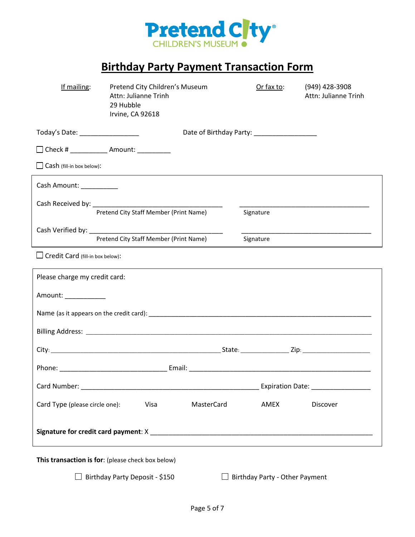

# **Birthday Party Payment Transaction Form**

| If mailing:                                                                   | Attn: Julianne Trinh<br>29 Hubble<br>Irvine, CA 92618 | Pretend City Children's Museum                        |  | Or fax to: | (949) 428-3908<br>Attn: Julianne Trinh |  |  |
|-------------------------------------------------------------------------------|-------------------------------------------------------|-------------------------------------------------------|--|------------|----------------------------------------|--|--|
| Date of Birthday Party: __________________<br>Today's Date: _________________ |                                                       |                                                       |  |            |                                        |  |  |
| □ Check # _____________ Amount: __________                                    |                                                       |                                                       |  |            |                                        |  |  |
| Cash (fill-in box below):                                                     |                                                       |                                                       |  |            |                                        |  |  |
| Cash Amount: __________                                                       |                                                       |                                                       |  |            |                                        |  |  |
|                                                                               |                                                       | Pretend City Staff Member (Print Name)                |  | Signature  |                                        |  |  |
| Cash Verified by: New York Cash Verified by:                                  |                                                       |                                                       |  |            |                                        |  |  |
|                                                                               | Pretend City Staff Member (Print Name)                |                                                       |  | Signature  |                                        |  |  |
| $\Box$ Credit Card (fill-in box below):                                       |                                                       |                                                       |  |            |                                        |  |  |
| Please charge my credit card:                                                 |                                                       |                                                       |  |            |                                        |  |  |
| Amount: ___________                                                           |                                                       |                                                       |  |            |                                        |  |  |
|                                                                               |                                                       |                                                       |  |            |                                        |  |  |
|                                                                               |                                                       |                                                       |  |            |                                        |  |  |
|                                                                               |                                                       |                                                       |  |            |                                        |  |  |
|                                                                               |                                                       |                                                       |  |            |                                        |  |  |
| Card Number:                                                                  |                                                       | <u> 1980 - John Stein, Amerikaansk konstantiner (</u> |  |            |                                        |  |  |
|                                                                               |                                                       |                                                       |  |            |                                        |  |  |
| Card Type (please circle one):                                                |                                                       | Visa<br>MasterCard                                    |  | AMEX       | Discover                               |  |  |
|                                                                               |                                                       |                                                       |  |            |                                        |  |  |
| This transaction is for: (please check box below)                             |                                                       |                                                       |  |            |                                        |  |  |

 $\Box$  Birthday Party Deposit - \$150  $\Box$  Birthday Party - Other Payment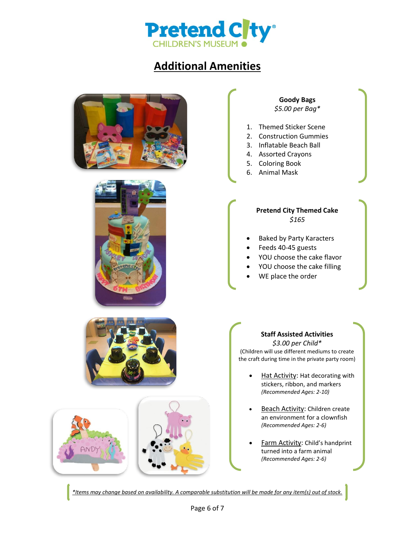

# **Additional Amenities**





# **Goody Bags** *\$5.00 per Bag\**

- 1. Themed Sticker Scene
- 2. Construction Gummies
- 3. Inflatable Beach Ball
- 4. Assorted Crayons
- 5. Coloring Book
- 6. Animal Mask

# **Pretend City Themed Cake** *\$165*

- Baked by Party Karacters
- Feeds 40-45 guests
- YOU choose the cake flavor
- YOU choose the cake filling
- WE place the order



# **Staff Assisted Activities** *\$3.00 per Child\**

(Children will use different mediums to create the craft during time in the private party room)

- Hat Activity: Hat decorating with stickers, ribbon, and markers *(Recommended Ages: 2-10)*
- Beach Activity: Children create an environment for a clownfish *(Recommended Ages: 2-6)*
- Farm Activity: Child's handprint turned into a farm animal *(Recommended Ages: 2-6)*